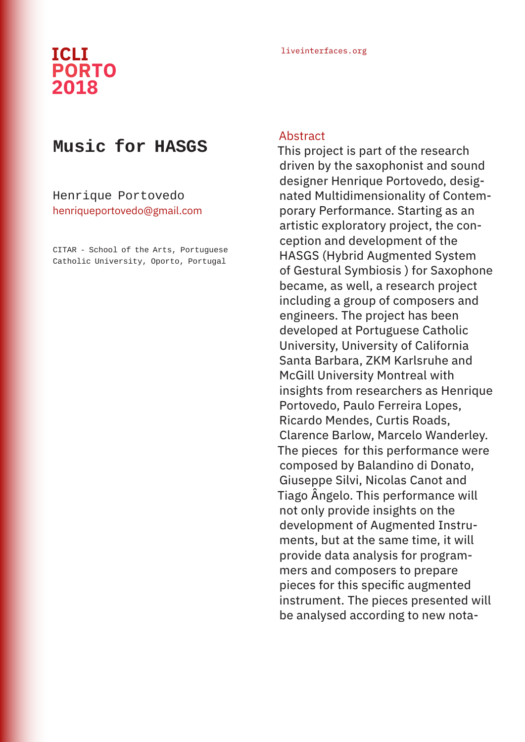## liveinterfaces.org **ICLI PORTO 2018**

## **Music for HASGS**

Henrique Portovedo henriqueportovedo@gmail.com

CITAR - School of the Arts, Portuguese Catholic University, Oporto, Portugal

## Abstract

This project is part of the research driven by the saxophonist and sound designer Henrique Portovedo, designated Multidimensionality of Contemporary Performance. Starting as an artistic exploratory project, the conception and development of the HASGS (Hybrid Augmented System of Gestural Symbiosis ) for Saxophone became, as well, a research project including a group of composers and engineers. The project has been developed at Portuguese Catholic University, University of California Santa Barbara, ZKM Karlsruhe and McGill University Montreal with insights from researchers as Henrique Portovedo, Paulo Ferreira Lopes, Ricardo Mendes, Curtis Roads, Clarence Barlow, Marcelo Wanderley. The pieces for this performance were composed by Balandino di Donato, Giuseppe Silvi, Nicolas Canot and Tiago Ângelo. This performance will not only provide insights on the development of Augmented Instruments, but at the same time, it will provide data analysis for programmers and composers to prepare pieces for this specific augmented instrument. The pieces presented will be analysed according to new nota